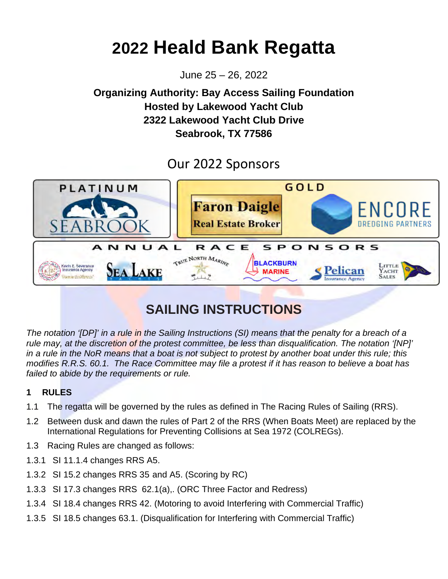# **2022 Heald Bank Regatta**

June 25 – 26, 2022

## **Organizing Authority: Bay Access Sailing Foundation Hosted by Lakewood Yacht Club 2322 Lakewood Yacht Club Drive Seabrook, TX 77586**

## Our 2022 Sponsors



## **SAILING INSTRUCTIONS**

*The notation '[DP]' in a rule in the Sailing Instructions (SI) means that the penalty for a breach of a rule may, at the discretion of the protest committee, be less than disqualification. The notation '[NP]' in a rule in the NoR means that a boat is not subject to protest by another boat under this rule; this modifies R.R.S. 60.1. The Race Committee may file a protest if it has reason to believe a boat has failed to abide by the requirements or rule.* 

## **1 RULES**

- 1.1 The regatta will be governed by the rules as defined in The Racing Rules of Sailing (RRS).
- 1.2 Between dusk and dawn the rules of Part 2 of the RRS (When Boats Meet) are replaced by the International Regulations for Preventing Collisions at Sea 1972 (COLREGs).
- 1.3 Racing Rules are changed as follows:
- 1.3.1 SI 11.1.4 changes RRS A5.
- 1.3.2 SI 15.2 changes RRS 35 and A5. (Scoring by RC)
- 1.3.3 SI 17.3 changes RRS 62.1(a),. (ORC Three Factor and Redress)
- 1.3.4 SI [18.4](#page-4-0) changes RRS 42. (Motoring to avoid Interfering with Commercial Traffic)
- 1.3.5 SI [18.5](#page-4-1) changes 63.1. (Disqualification for Interfering with Commercial Traffic)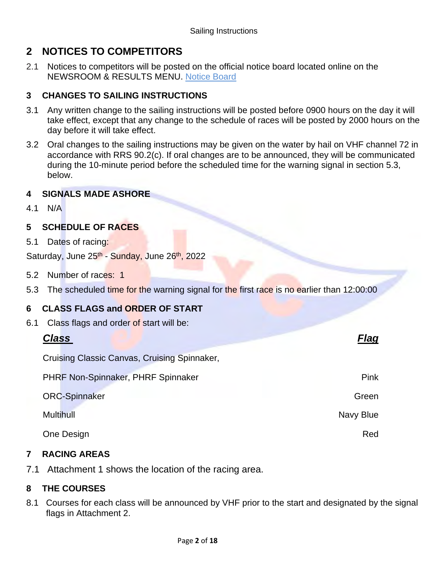## **2 NOTICES TO COMPETITORS**

2.1 Notices to competitors will be posted on the official notice board located online on the NEWSROOM & RESULTS MENU. [Notice Board](https://www.regattanetwork.com/clubmgmt/applet_notice_board.php?regatta_id=22599)

## **3 CHANGES TO SAILING INSTRUCTIONS**

- 3.1 Any written change to the sailing instructions will be posted before 0900 hours on the day it will take effect, except that any change to the schedule of races will be posted by 2000 hours on the day before it will take effect.
- 3.2 Oral changes to the sailing instructions may be given on the water by hail on VHF channel 72 in accordance with RRS 90.2(c). If oral changes are to be announced, they will be communicated during the 10-minute period before the scheduled time for the warning signal in section 5.3, below.

## **4 SIGNALS MADE ASHORE**

4.1 N/A

## **5 SCHEDULE OF RACES**

5.1 Dates of racing:

Saturday, June 25<sup>th</sup> - Sunday, June 26<sup>th</sup>, 2022

- 5.2 Number of races: 1
- 5.3 The scheduled time for the warning signal for the first race is no earlier than 12:00:00

## **6 CLASS FLAGS and ORDER OF START**

6.1 Class flags and order of start will be:

## *Class Flag*

Cruising Classic Canvas, Cruising Spinnaker,

PHRF Non-Spinnaker, PHRF Spinnaker Pink

ORC-Spinnaker Green Green Controller Controller Controller Controller Controller Controller Controller Controller

Multihull **Navy Blue** 

**One Design Red** Red Art 2008 **Red** Red Art 2008 **Red** Art 2009 **Red Art 2009** 

## **7 RACING AREAS**

7.1 Attachment 1 shows the location of the racing area.

## **8 THE COURSES**

8.1 Courses for each class will be announced by VHF prior to the start and designated by the signal flags in Attachment 2.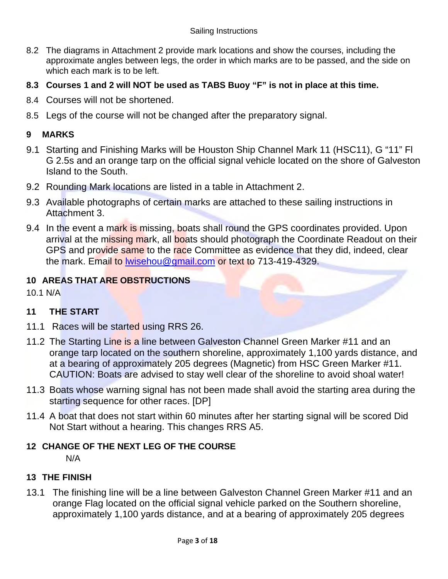- 8.2 The diagrams in Attachment 2 provide mark locations and show the courses, including the approximate angles between legs, the order in which marks are to be passed, and the side on which each mark is to be left.
- **8.3 Courses 1 and 2 will NOT be used as TABS Buoy "F" is not in place at this time.**
- 8.4 Courses will not be shortened.
- 8.5 Legs of the course will not be changed after the preparatory signal.

## **9 MARKS**

- 9.1 Starting and Finishing Marks will be Houston Ship Channel Mark 11 (HSC11), G "11" Fl G 2.5s and an orange tarp on the official signal vehicle located on the shore of Galveston Island to the South.
- 9.2 Rounding Mark locations are listed in a table in Attachment 2.
- 9.3 Available photographs of certain marks are attached to these sailing instructions in Attachment 3.
- 9.4 In the event a mark is missing, boats shall round the GPS coordinates provided. Upon arrival at the missing mark, all boats should photograph the Coordinate Readout on their GPS and provide same to the race Committee as evidence that they did, indeed, clear the mark. Email to [lwisehou@gmail.com](mailto:billvanrav@gmail.com) or text to 713-419-4329.

## **10 AREAS THAT ARE OBSTRUCTIONS**

10.1 N/A

## **11 THE START**

- 11.1 Races will be started using RRS 26.
- 11.2 The Starting Line is a line between Galveston Channel Green Marker #11 and an orange tarp located on the southern shoreline, approximately 1,100 yards distance, and at a bearing of approximately 205 degrees (Magnetic) from HSC Green Marker #11. CAUTION: Boats are advised to stay well clear of the shoreline to avoid shoal water!
- 11.3 Boats whose warning signal has not been made shall avoid the starting area during the starting sequence for other races. [DP]
- 11.4 A boat that does not start within 60 minutes after her starting signal will be scored Did Not Start without a hearing. This changes RRS A5.

## **12 CHANGE OF THE NEXT LEG OF THE COURSE**

N/A

## **13 THE FINISH**

13.1 The finishing line will be a line between Galveston Channel Green Marker #11 and an orange Flag located on the official signal vehicle parked on the Southern shoreline, approximately 1,100 yards distance, and at a bearing of approximately 205 degrees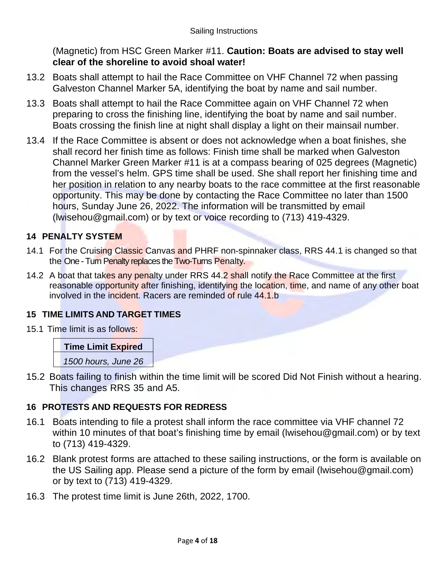(Magnetic) from HSC Green Marker #11. **Caution: Boats are advised to stay well clear of the shoreline to avoid shoal water!**

- 13.2 Boats shall attempt to hail the Race Committee on VHF Channel 72 when passing Galveston Channel Marker 5A, identifying the boat by name and sail number.
- 13.3 Boats shall attempt to hail the Race Committee again on VHF Channel 72 when preparing to cross the finishing line, identifying the boat by name and sail number. Boats crossing the finish line at night shall display a light on their mainsail number.
- 13.4 If the Race Committee is absent or does not acknowledge when a boat finishes, she shall record her finish time as follows: Finish time shall be marked when Galveston Channel Marker Green Marker #11 is at a compass bearing of 025 degrees (Magnetic) from the vessel's helm. GPS time shall be used. She shall report her finishing time and her position in relation to any nearby boats to the race committee at the first reasonable opportunity. This may be done by contacting the Race Committee no later than 1500 hours, Sunday June 26, 2022. The information will be transmitted by email (lwisehou@gmail.com) or by text or voice recording to (713) 419-4329.

## **14 PENALTY SYSTEM**

- 14.1 For the Cruising Classic Canvas and PHRF non-spinnaker class, RRS 44.1 is changed so that the One - Turn Penalty replaces the Two-Turns Penalty.
- 14.2 A boat that takes any penalty under RRS 44.2 shall notify the Race Committee at the first reasonable opportunity after finishing, identifying the location, time, and name of any other boat involved in the incident. Racers are reminded of rule 44.1.b

## **15 TIME LIMITS AND TARGET TIMES**

15.1 Time limit is as follows:

## **Time Limit Expired**

*1500 hours, June 26*

15.2 Boats failing to finish within the time limit will be scored Did Not Finish without a hearing. This changes RRS 35 and A5.

## **16 PROTESTS AND REQUESTS FOR REDRESS**

- 16.1 Boats intending to file a protest shall inform the race committee via VHF channel 72 within 10 minutes of that boat's finishing time by email (lwisehou@gmail.com) or by text to (713) 419-4329.
- 16.2 Blank protest forms are attached to these sailing instructions, or the form is available on the US Sailing app. Please send a picture of the form by email (lwisehou@gmail.com) or by text to (713) 419-4329.
- 16.3 The protest time limit is June 26th, 2022, 1700.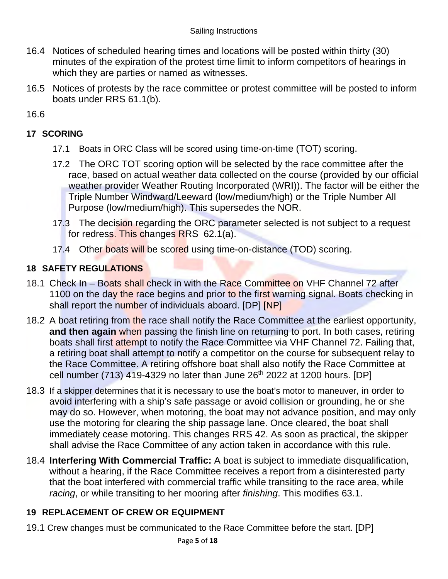- 16.4 Notices of scheduled hearing times and locations will be posted within thirty (30) minutes of the expiration of the protest time limit to inform competitors of hearings in which they are parties or named as witnesses.
- 16.5 Notices of protests by the race committee or protest committee will be posted to inform boats under RRS 61.1(b).

16.6

## **17 SCORING**

- 17.1 Boats in ORC Class will be scored using time-on-time (TOT) scoring.
- 17.2 The ORC TOT scoring option will be selected by the race committee after the race, based on actual weather data collected on the course (provided by our official weather provider Weather Routing Incorporated (WRI)). The factor will be either the Triple Number Windward/Leeward (low/medium/high) or the Triple Number All Purpose (low/medium/high). This supersedes the NOR.
- 17.3 The decision regarding the ORC parameter selected is not subject to a request for redress. This changes RRS 62.1(a).
- 17.4 Other boats will be scored using time-on-distance (TOD) scoring.

## **18 SAFETY REGULATIONS**

- 18.1 Check In Boats shall check in with the Race Committee on VHF Channel 72 after 1100 on the day the race begins and prior to the first warning signal. Boats checking in shall report the number of individuals aboard. [DP] [NP]
- 18.2 A boat retiring from the race shall notify the Race Committee at the earliest opportunity, **and then again** when passing the finish line on returning to port. In both cases, retiring boats shall first attempt to notify the Race Committee via VHF Channel 72. Failing that, a retiring boat shall attempt to notify a competitor on the course for subsequent relay to the Race Committee. A retiring offshore boat shall also notify the Race Committee at cell number (713) 419-4329 no later than June  $26<sup>th</sup>$  2022 at 1200 hours. [DP]
- <span id="page-4-0"></span>18.3 If a skipper determines that it is necessary to use the boat's motor to maneuver, in order to avoid interfering with a ship's safe passage or avoid collision or grounding, he or she may do so. However, when motoring, the boat may not advance position, and may only use the motoring for clearing the ship passage lane. Once cleared, the boat shall immediately cease motoring. This changes RRS 42. As soon as practical, the skipper shall advise the Race Committee of any action taken in accordance with this rule.
- <span id="page-4-1"></span>18.4 **Interfering With Commercial Traffic:** A boat is subject to immediate disqualification, without a hearing, if the Race Committee receives a report from a disinterested party that the boat interfered with commercial traffic while transiting to the race area, while *racing*, or while transiting to her mooring after *finishing*. This modifies 63.1.

## **19 REPLACEMENT OF CREW OR EQUIPMENT**

19.1 Crew changes must be communicated to the Race Committee before the start. [DP]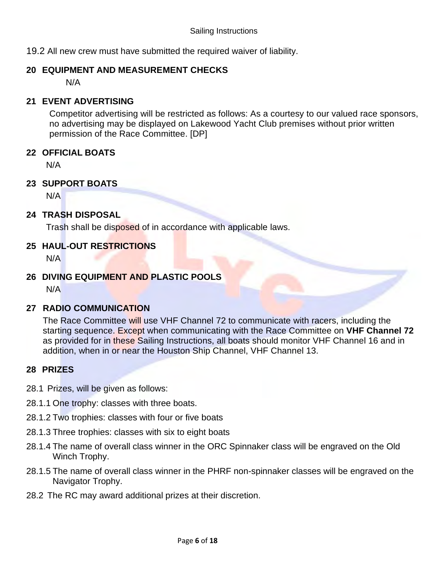19.2 All new crew must have submitted the required waiver of liability.

## **20 EQUIPMENT AND MEASUREMENT CHECKS**

N/A

### **21 EVENT ADVERTISING**

Competitor advertising will be restricted as follows: As a courtesy to our valued race sponsors, no advertising may be displayed on Lakewood Yacht Club premises without prior written permission of the Race Committee. [DP]

## **22 OFFICIAL BOATS**

N/A

## **23 SUPPORT BOATS**

N/A

## **24 TRASH DISPOSAL**

Trash shall be disposed of in accordance with applicable laws.

### **25 HAUL-OUT RESTRICTIONS**

N/A

## **26 DIVING EQUIPMENT AND PLASTIC POOLS**

N/A

## **27 RADIO COMMUNICATION**

The Race Committee will use VHF Channel 72 to communicate with racers, including the starting sequence. Except when communicating with the Race Committee on **VHF Channel 72**  as provided for in these Sailing Instructions, all boats should monitor VHF Channel 16 and in addition, when in or near the Houston Ship Channel, VHF Channel 13.

### **28 PRIZES**

- 28.1 Prizes, will be given as follows:
- 28.1.1 One trophy: classes with three boats.
- 28.1.2 Two trophies: classes with four or five boats
- 28.1.3 Three trophies: classes with six to eight boats
- 28.1.4 The name of overall class winner in the ORC Spinnaker class will be engraved on the Old Winch Trophy.
- 28.1.5 The name of overall class winner in the PHRF non-spinnaker classes will be engraved on the Navigator Trophy.
- 28.2 The RC may award additional prizes at their discretion.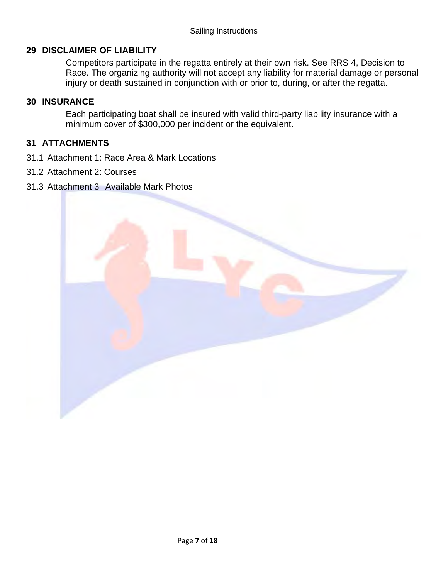### **29 DISCLAIMER OF LIABILITY**

Competitors participate in the regatta entirely at their own risk. See RRS 4, Decision to Race. The organizing authority will not accept any liability for material damage or personal injury or death sustained in conjunction with or prior to, during, or after the regatta.

### **30 INSURANCE**

Each participating boat shall be insured with valid third-party liability insurance with a minimum cover of \$300,000 per incident or the equivalent.

### **31 ATTACHMENTS**

- 31.1 Attachment 1: Race Area & Mark Locations
- 31.2 Attachment 2: Courses
- 31.3 Attachment 3 Available Mark Photos

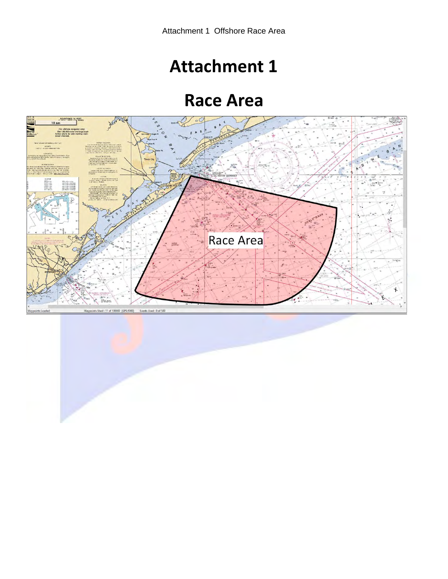# **Attachment 1**

## **Race Area**



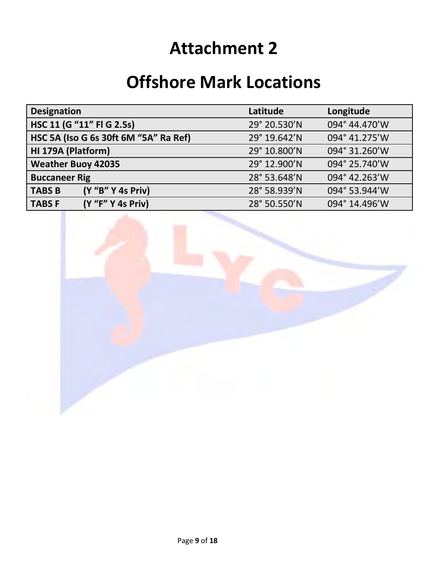# **Attachment 2**

## **Offshore Mark Locations**

| <b>Designation</b>                    | Latitude     | Longitude     |
|---------------------------------------|--------------|---------------|
| HSC 11 (G "11" FI G 2.5s)             | 29° 20.530'N | 094° 44.470'W |
| HSC 5A (Iso G 6s 30ft 6M "5A" Ra Ref) | 29° 19.642'N | 094° 41.275'W |
| HI 179A (Platform)                    | 29° 10.800'N | 094° 31.260'W |
| <b>Weather Buoy 42035</b>             | 29° 12.900'N | 094° 25.740'W |
| <b>Buccaneer Rig</b>                  | 28° 53.648'N | 094° 42.263'W |
| <b>TABS B</b><br>(Y "B" Y 4s Priv)    | 28° 58.939'N | 094° 53.944'W |
| <b>TABSF</b><br>(Y "F" Y 4s Priv)     | 28° 50.550'N | 094° 14.496'W |

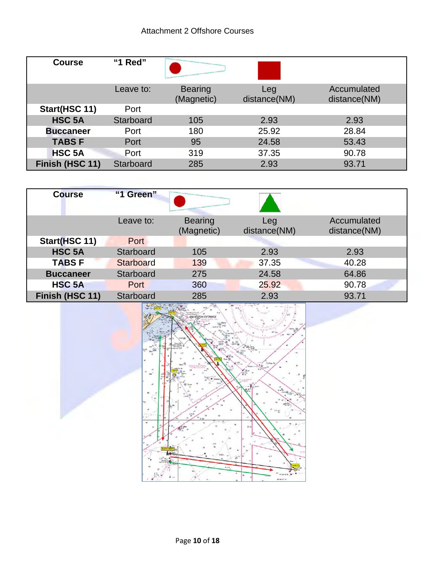## Attachment 2 Offshore Courses

| <b>Course</b>    | "1 Red"   |                              |                     |                             |
|------------------|-----------|------------------------------|---------------------|-----------------------------|
|                  | Leave to: | <b>Bearing</b><br>(Magnetic) | Leg<br>distance(NM) | Accumulated<br>distance(NM) |
| Start(HSC 11)    | Port      |                              |                     |                             |
| <b>HSC 5A</b>    | Starboard | 105                          | 2.93                | 2.93                        |
| <b>Buccaneer</b> | Port      | 180                          | 25.92               | 28.84                       |
| <b>TABSF</b>     | Port      | 95                           | 24.58               | 53.43                       |
| <b>HSC 5A</b>    | Port      | 319                          | 37.35               | 90.78                       |
| Finish (HSC 11)  | Starboard | 285                          | 2.93                | 93.71                       |

| <b>Course</b>    | "1 Green"        |                              |                     |                             |
|------------------|------------------|------------------------------|---------------------|-----------------------------|
|                  | Leave to:        | <b>Bearing</b><br>(Magnetic) | Leg<br>distance(NM) | Accumulated<br>distance(NM) |
| Start(HSC 11)    | Port             |                              |                     |                             |
| <b>HSC 5A</b>    | <b>Starboard</b> | 105                          | 2.93                | 2.93                        |
| <b>TABSF</b>     | Starboard        | 139                          | 37.35               | 40.28                       |
| <b>Buccaneer</b> | <b>Starboard</b> | 275                          | 24.58               | 64.86                       |
| <b>HSC 5A</b>    | Port             | 360                          | 25.92               | 90.78                       |
| Finish (HSC 11)  | <b>Starboard</b> | 285                          | 2.93                | 93.71                       |

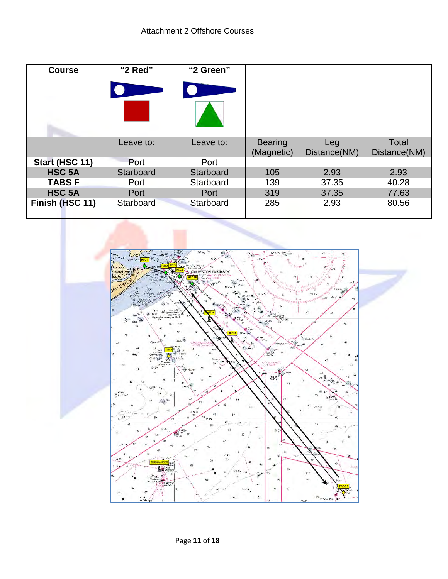| <b>Course</b>   | "2 Red"   | "2 Green" |                              |                     |                              |
|-----------------|-----------|-----------|------------------------------|---------------------|------------------------------|
|                 |           |           |                              |                     |                              |
|                 | Leave to: | Leave to: | <b>Bearing</b><br>(Magnetic) | Leg<br>Distance(NM) | <b>Total</b><br>Distance(NM) |
| Start (HSC 11)  | Port      | Port      |                              | --                  | --                           |
| <b>HSC 5A</b>   | Starboard | Starboard | 105                          | 2.93                | 2.93                         |
| <b>TABSF</b>    | Port      | Starboard | 139                          | 37.35               | 40.28                        |
| <b>HSC 5A</b>   | Port      | Port      | 319                          | 37.35               | 77.63                        |
| Finish (HSC 11) | Starboard | Starboard | 285                          | 2.93                | 80.56                        |

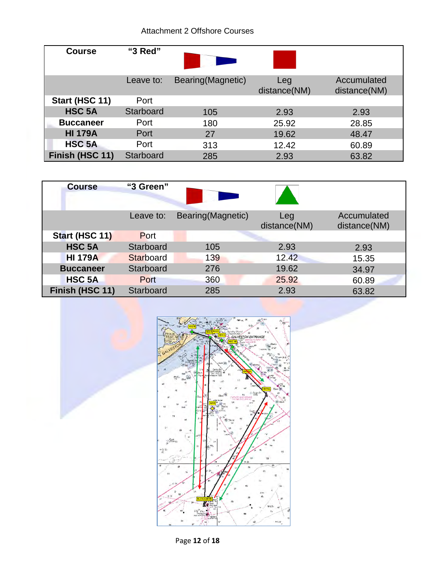## Attachment 2 Offshore Courses

| <b>Course</b>    | "3 Red"   |                    |                     |                             |
|------------------|-----------|--------------------|---------------------|-----------------------------|
|                  | Leave to: | Bearing (Magnetic) | Leg<br>distance(NM) | Accumulated<br>distance(NM) |
| Start (HSC 11)   | Port      |                    |                     |                             |
| <b>HSC 5A</b>    | Starboard | 105                | 2.93                | 2.93                        |
| <b>Buccaneer</b> | Port      | 180                | 25.92               | 28.85                       |
| <b>HI 179A</b>   | Port      | 27                 | 19.62               | 48.47                       |
| <b>HSC 5A</b>    | Port      | 313                | 12.42               | 60.89                       |
| Finish (HSC 11)  | Starboard | 285                | 2.93                | 63.82                       |

| <b>Course</b>    | "3 Green" |                   |                     |                             |
|------------------|-----------|-------------------|---------------------|-----------------------------|
|                  | Leave to: | Bearing(Magnetic) | Leg<br>distance(NM) | Accumulated<br>distance(NM) |
| Start (HSC 11)   | Port      |                   |                     |                             |
| <b>HSC 5A</b>    | Starboard | 105               | 2.93                | 2.93                        |
| <b>HI 179A</b>   | Starboard | 139               | 12.42               | 15.35                       |
| <b>Buccaneer</b> | Starboard | 276               | 19.62               | 34.97                       |
| <b>HSC 5A</b>    | Port      | 360               | 25.92               | 60.89                       |
| Finish (HSC 11)  | Starboard | 285               | 2.93                | 63.82                       |



Page **12** of **18**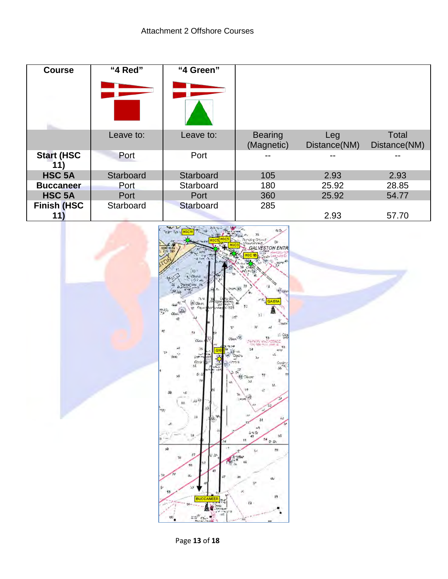| <b>Course</b>            | "4 Red"   | "4 Green" |                              |                     |                              |
|--------------------------|-----------|-----------|------------------------------|---------------------|------------------------------|
|                          |           |           |                              |                     |                              |
|                          | Leave to: | Leave to: | <b>Bearing</b><br>(Magnetic) | Leg<br>Distance(NM) | <b>Total</b><br>Distance(NM) |
| <b>Start (HSC</b><br>11) | Port      | Port      |                              |                     |                              |
| <b>HSC 5A</b>            | Starboard | Starboard | 105                          | 2.93                | 2.93                         |
| <b>Buccaneer</b>         | Port      | Starboard | 180                          | 25.92               | 28.85                        |
| <b>HSC 5A</b>            | Port      | Port      | 360                          | 25.92               | 54.77                        |
| <b>Finish (HSC</b>       | Starboard | Starboard | 285                          |                     |                              |
| 11                       |           |           |                              | 2.93                | 57.70                        |

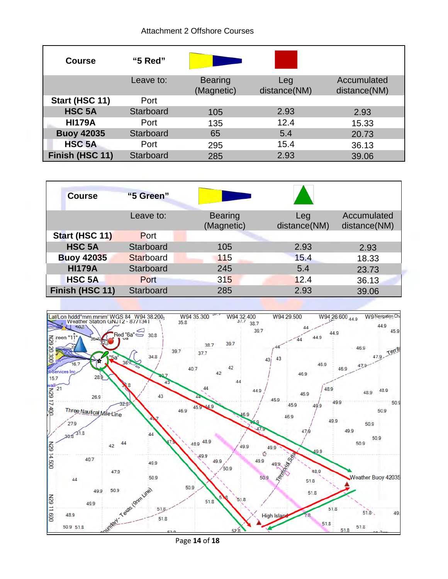#### Attachment 2 Offshore Courses

| <b>Course</b>     | "5 Red"          |                              |                     |                             |
|-------------------|------------------|------------------------------|---------------------|-----------------------------|
|                   | Leave to:        | <b>Bearing</b><br>(Magnetic) | Leg<br>distance(NM) | Accumulated<br>distance(NM) |
| Start (HSC 11)    | Port             |                              |                     |                             |
| <b>HSC 5A</b>     | Starboard        | 105                          | 2.93                | 2.93                        |
| <b>HI179A</b>     | Port             | 135                          | 12.4                | 15.33                       |
| <b>Buoy 42035</b> | Starboard        | 65                           | 5.4                 | 20.73                       |
| <b>HSC 5A</b>     | Port             | 295                          | 15.4                | 36.13                       |
| Finish (HSC 11)   | <b>Starboard</b> | 285                          | 2.93                | 39.06                       |

| <b>Course</b>     | "5 Green" |                              |                     |                             |
|-------------------|-----------|------------------------------|---------------------|-----------------------------|
|                   | Leave to: | <b>Bearing</b><br>(Magnetic) | Leg<br>distance(NM) | Accumulated<br>distance(NM) |
| Start (HSC 11)    | Port      |                              |                     |                             |
| <b>HSC 5A</b>     | Starboard | 105                          | 2.93                | 2.93                        |
| <b>Buoy 42035</b> | Starboard | 115                          | 15.4                | 18.33                       |
| <b>HI179A</b>     | Starboard | 245                          | 5.4                 | 23.73                       |
| <b>HSC 5A</b>     | Port      | 315                          | 12.4                | 36.13                       |
| Finish (HSC 11)   | Starboard | 285                          | 2.93                | 39.06                       |



Page **14** of **18**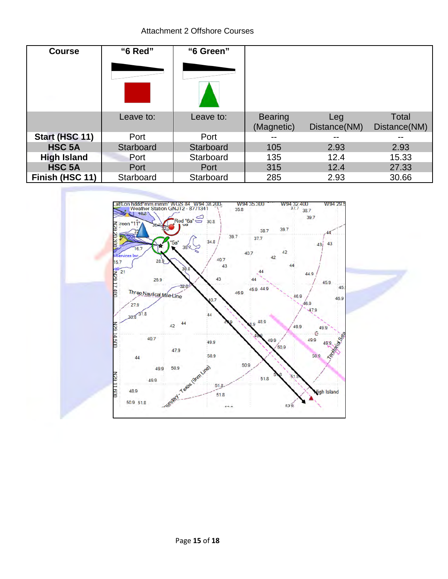Attachment 2 Offshore Courses

| <b>Course</b>      | "6 Red"   | "6 Green" |                              |                     |                              |
|--------------------|-----------|-----------|------------------------------|---------------------|------------------------------|
|                    |           |           |                              |                     |                              |
|                    |           |           |                              |                     |                              |
|                    |           |           |                              |                     |                              |
|                    | Leave to: | Leave to: | <b>Bearing</b><br>(Magnetic) | Leg<br>Distance(NM) | <b>Total</b><br>Distance(NM) |
| Start (HSC 11)     | Port      | Port      | --                           |                     |                              |
| <b>HSC 5A</b>      | Starboard | Starboard | 105                          | 2.93                | 2.93                         |
| <b>High Island</b> | Port      | Starboard | 135                          | 12.4                | 15.33                        |
| <b>HSC 5A</b>      | Port      | Port      | 315                          | 12.4                | 27.33                        |
| Finish (HSC 11)    | Starboard | Starboard | 285                          | 2.93                | 30.66                        |

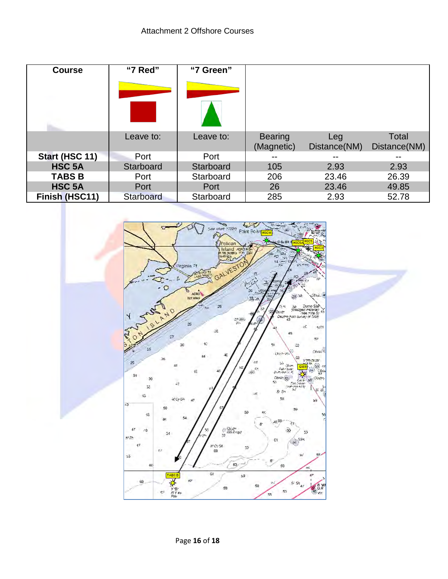| <b>Course</b>  | "7 Red"          | "7 Green" |                              |                     |                       |
|----------------|------------------|-----------|------------------------------|---------------------|-----------------------|
|                |                  |           |                              |                     |                       |
|                |                  |           |                              |                     |                       |
|                | Leave to:        | Leave to: | <b>Bearing</b><br>(Magnetic) | Leg<br>Distance(NM) | Total<br>Distance(NM) |
| Start (HSC 11) | Port             | Port      | --                           | --                  | --                    |
| <b>HSC 5A</b>  | Starboard        | Starboard | 105                          | 2.93                | 2.93                  |
| <b>TABS B</b>  | Port             | Starboard | 206                          | 23.46               | 26.39                 |
| <b>HSC 5A</b>  | Port             | Port      | 26                           | 23.46               | 49.85                 |
| Finish (HSC11) | <b>Starboard</b> | Starboard | 285                          | 2.93                | 52.78                 |

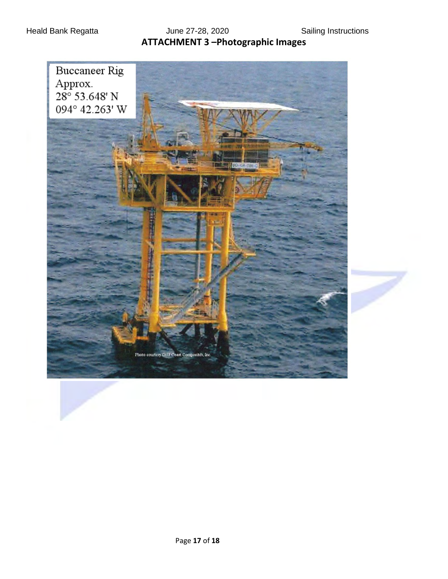